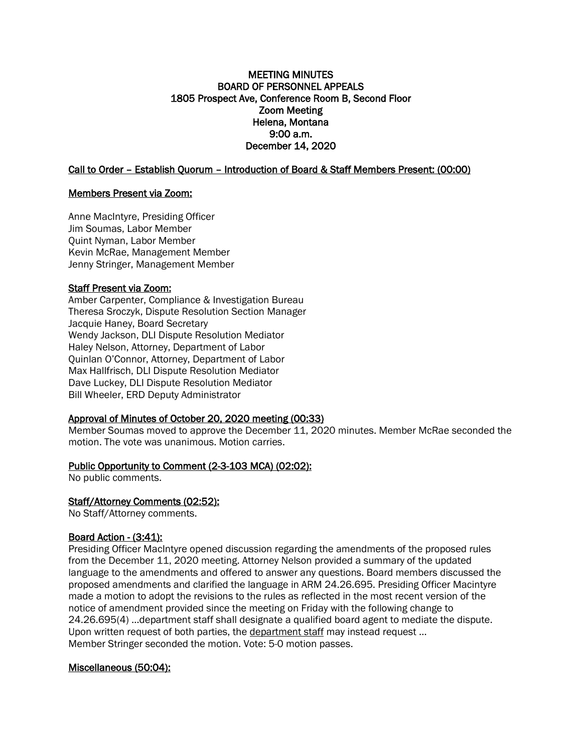### MEETING MINUTES BOARD OF PERSONNEL APPEALS 1805 Prospect Ave, Conference Room B, Second Floor Zoom Meeting Helena, Montana 9:00 a.m. December 14, 2020

Call to Order – Establish Quorum – Introduction of Board & Staff Members Present: (00:00)

### Members Present via Zoom:

Anne MacIntyre, Presiding Officer Jim Soumas, Labor Member Quint Nyman, Labor Member Kevin McRae, Management Member Jenny Stringer, Management Member

## Staff Present via Zoom:

Amber Carpenter, Compliance & Investigation Bureau Theresa Sroczyk, Dispute Resolution Section Manager Jacquie Haney, Board Secretary Wendy Jackson, DLI Dispute Resolution Mediator Haley Nelson, Attorney, Department of Labor Quinlan O'Connor, Attorney, Department of Labor Max Hallfrisch, DLI Dispute Resolution Mediator Dave Luckey, DLI Dispute Resolution Mediator Bill Wheeler, ERD Deputy Administrator

# Approval of Minutes of October 20, 2020 meeting (00:33)

Member Soumas moved to approve the December 11, 2020 minutes. Member McRae seconded the motion. The vote was unanimous. Motion carries.

# Public Opportunity to Comment (2-3-103 MCA) (02:02):

No public comments.

### Staff/Attorney Comments (02:52):

No Staff/Attorney comments.

### Board Action - (3:41):

Presiding Officer MacIntyre opened discussion regarding the amendments of the proposed rules from the December 11, 2020 meeting. Attorney Nelson provided a summary of the updated language to the amendments and offered to answer any questions. Board members discussed the proposed amendments and clarified the language in ARM 24.26.695. Presiding Officer Macintyre made a motion to adopt the revisions to the rules as reflected in the most recent version of the notice of amendment provided since the meeting on Friday with the following change to 24.26.695(4) …department staff shall designate a qualified board agent to mediate the dispute. Upon written request of both parties, the department staff may instead request … Member Stringer seconded the motion. Vote: 5-0 motion passes.

### Miscellaneous (50:04):